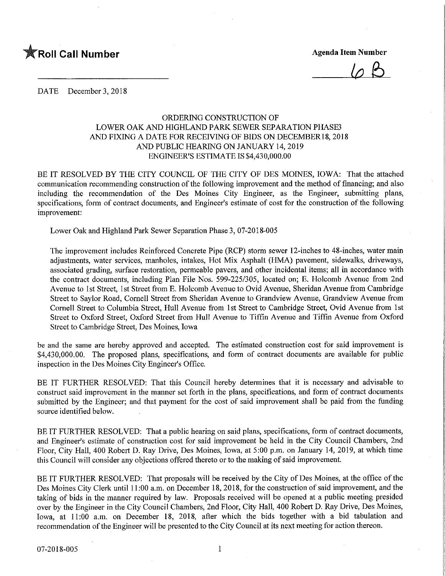

 $\varphi$   $\beta$ 

DATE December 3, 2018

## ORDERING CONSTRUCTION OF LOWER OAK AND HIGHLAND PARK SEWER SEPARATION PHASES AND FIXING A DATE FOR RECEIVING OF BIDS ON DECEMBER18, 2018 AND PUBLIC HEARING ON JANUARY 14, 2019 ENGINEER'S ESTIMATE IS \$4,430,000.00

BE IT RESOLVED BY THE CITY COUNCIL OF THE CITY OF DES MOINES, IOWA: That the attached communication recommending construction of the following improvement and the method of financing; and also including the recommendation of the Des Moines City Engineer, as the Engineer, submitting plans, specifications, form of contract documents, and Engineer's estimate of cost for the construction of the following improvement:

Lower Oak and Highland Park Sewer Separation Phase 3, 07-2018-005

The improvement includes Reinforced Concrete Pipe (RCP) storm sewer 12-inches to 48-inches, water main adjustments, water services, manholes, intakes, Hot Mix Asphalt (HMA) pavement, sidewalks, driveways, associated grading, surface restoration, permeable pavers, and other incidental items; all in accordance with the contract documents, including Plan File Nos. 599-225/305, located on; E. Holcomb Avenue from 2nd Avenue to 1st Street, 1st Street from E. Holcomb Avenue to Ovid Avenue, Sheridan Avenue from Cambridge Street to Saylor Road, Cornell Street from Sheridan Avenue to Grandview Avenue, Grandview Avenue from Comell Street to Columbia Street, Hull Avenue from 1st Street to Cambridge Street, Ovid Avenue from 1st Street to Oxford Street, Oxford Street from Hull Avenue to Tiffln Avenue and Tiffin Avenue from Oxford Street to Cambridge Street, Des Moines, Iowa

be and the same are hereby approved and accepted. The estimated construction cost for said improvement is \$4,430,000.00. The proposed plans, specifications, and form of contract documents are available for public inspection in the Des Moines City Engineer's Office.

BE IT FURTHER RESOLVED: That this Council hereby determines that it is necessary and advisable to construct said improvement in the manner set forth in the plans, specifications, and form of contract documents submitted by the Engineer; and that payment for the cost of said improvement shall be paid from the funding source identified below.

BE IT FURTHER RESOLVED: That a public hearing on said plans, specifications, form of contract documents, and Engineer's estimate of construction cost for said improvement be held in the City Council Chambers, 2nd Floor, City Hall, 400 Robert D. Ray Drive, Des Moines, Iowa, at 5:00 p.m. on January 14, 2019, at which time this Council will consider any objections offered thereto or to the making of said improvement

BE IT FURTHER RESOLVED: That proposals will be received by the City of Des Moines, at the office of the Des Moines City Clerk until 11:00 a.m. on December 18, 2018, for the construction of said improvement, and the taking of bids in the manner required by law. Proposals received will be opened at a public meeting presided over by the Engineer in the City Council Chambers, 2nd Floor, City Hall, 400 Robert D. Ray Drive, Des Moines, Iowa, at 11:00 a.m. on December 18, 2018, after which the bids together with a bid tabulation and recommendation of the Engineer will be presented to the City Council at its next meeting for action thereon. 07-2018-005 1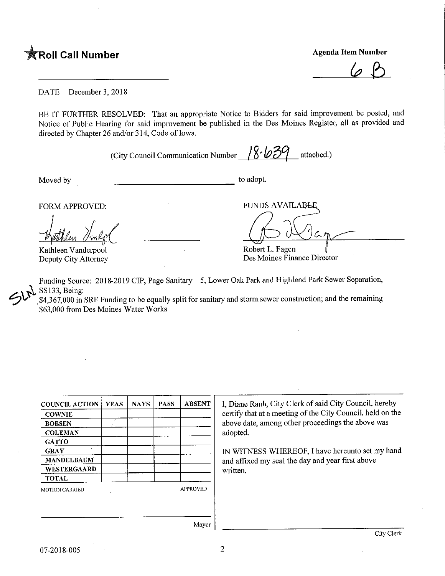

 $6B$ 

DATE December 3, 2018

BE IT FURTHER RESOLVED: That an appropriate Notice to Bidders for said improvement be posted, and Notice of Public Hearing for said improvement be published in the Des Moines Register, all as provided and directed by Chapter 26 and/or 314, Code of Iowa.

(City Council Communication Number  $\frac{8.639}{8.639}$  attached.)

Moved by to adopt.

Kathleen Vanderpool Deputy City Attorney

FORM APPROVED: FUNDS AVAILABLE

Robert L. Fagen

Des Moines Finance Director

Funding Source: 2018-2019 CIP, Page Sanitary - 5, Lower Oak Park and Highland Park Sewer Separation, SS133, Being:

\$4,367,000 in SRF Funding to be equally split for sanitary and storm sewer construction; and the remaining \$63,000 from Des Moines Water Works

| <b>COUNCIL ACTION</b> | <b>YEAS</b> | <b>NAYS</b> | <b>PASS</b> | <b>ABSENT</b> |
|-----------------------|-------------|-------------|-------------|---------------|
| <b>COWNIE</b>         |             |             |             |               |
| <b>BOESEN</b>         |             |             |             |               |
| <b>COLEMAN</b>        |             |             |             |               |
| <b>GATTO</b>          |             |             |             |               |
| <b>GRAY</b>           |             |             |             |               |
| <b>MANDELBAUM</b>     |             |             |             |               |
| WESTERGAARD           |             |             |             |               |
| <b>TOTAL</b>          |             |             |             |               |
| <b>MOTION CARRIED</b> |             |             |             | APPROVED      |
|                       |             |             |             |               |

I, Diane Rauh, City Clerk of said City Council, hereby certify that at a meeting of the City Council, held on the above date, among other proceedings the above was adopted.

IN WITNESS WHEREOF, I have hereunto set my hand and affixed my seal the day and year first above written.

Mayor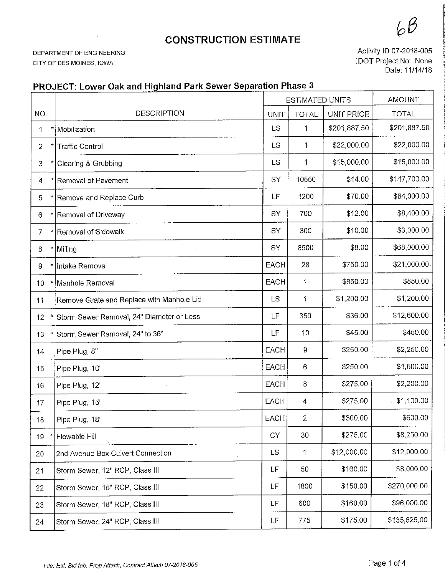## **CONSTRUCTION ESTIMATE**

DEPARTMENT OF ENGINEERING CITY OF DES MOINES, IOWA

Activity ID 07-2018-005 IDOT Project No: None Date: 11/14/18

## PROJECT: Lower Oak and Highland Park Sewer Separation Phase 3

|                |                                               | <b>ESTIMATED UNITS</b> |                           | <b>AMOUNT</b>     |              |
|----------------|-----------------------------------------------|------------------------|---------------------------|-------------------|--------------|
| NO.            | <b>DESCRIPTION</b>                            | UNIT                   | <b>TOTAL</b>              | <b>UNIT PRICE</b> | <b>TOTAL</b> |
| 1              | * Mobilization                                | LS                     | 1                         | \$201,887.50      | \$201,887.50 |
| $\overline{2}$ | <b>Traffic Control</b>                        | LS                     | 1                         | \$22,000.00       | \$22,000.00  |
| 3              | Clearing & Grubbing                           | LS                     | $\mathbf{1}$              | \$15,000.00       | \$15,000.00  |
| $\ddot{4}$     | Removal of Pavement                           | SY                     | 10550                     | \$14.00           | \$147,700.00 |
| 5              | Remove and Replace Curb                       | LF                     | 1200                      | \$70.00           | \$84,000.00  |
| 6              | Removal of Driveway                           | SY                     | 700                       | \$12.00           | \$8,400.00   |
| $\overline{7}$ | Removal of Sidewalk                           | SY                     | 300                       | \$10.00           | \$3,000.00   |
| 8<br>Ħ         | Milling                                       | SY                     | 8500                      | \$8.00            | \$68,000.00  |
| 9              | Intake Removal<br>$\epsilon^{-1}$             | <b>EACH</b>            | 28                        | \$750.00          | \$21,000.00  |
| 10             | Manhole Removal                               | EACH                   | 1                         | \$850.00          | \$850.00     |
| 11             | Remove Grate and Replace with Manhole Lid     | <b>LS</b>              | 1                         | \$1,200.00        | \$1,200.00   |
| 12             | Storm Sewer Removal, 24" Diameter or Less     | LF                     | 350                       | \$36.00           | \$12,600.00  |
| 13             | Storm Sewer Removal, 24" to 36"               | LF                     | 10                        | \$45.00           | \$450.00     |
| 14             | Pipe Plug, 8"                                 | EACH                   | $\overset{\mathbf{9}}{.}$ | \$250.00          | \$2,250.00   |
| 15             | Pipe Plug, 10"                                | <b>EACH</b>            | 6                         | \$250.00          | \$1,500.00   |
| 16             | Pipe Plug, 12"                                | <b>EACH</b>            | 8                         | \$275.00          | \$2,200.00   |
| 17             | Pipe Plug, 15"                                | EACH                   | 4                         | \$275.00          | \$1,100.00   |
| 18             | Pipe Plug, 18"                                | EACH                   | 2                         | \$300.00          | \$600.00     |
| 19             | Flowable Fill                                 | <b>CY</b>              | 30                        | \$275.00          | \$8,250.00   |
| 20             | 2nd Avenue Box Culvert Connection             | LS.                    | 1                         | \$12,000.00       | \$12,000.00  |
| 21             | Storm Sewer, 12" RCP, Class III               | LF                     | 50                        | \$160.00          | \$8,000.00   |
| 22             | Storm Sewer, 15" RCP, Class III               | LF                     | 1800                      | \$150.00          | \$270,000.00 |
| 23             | Storm Sewer, 18" RCP, Class III               | LF                     | 600                       | \$160.00          | \$96,000.00  |
| 24             | $\epsilon$<br>Storm Sewer, 24" RCP, Class III | LF                     | 775                       | \$175.00          | \$135,625.00 |

 $6B$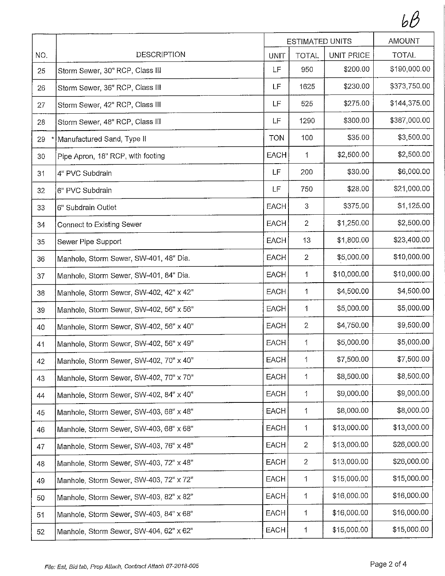$b\beta$ 

|     |                                         |             | ESTIMATED UNITS | <b>AMOUNT</b> |              |
|-----|-----------------------------------------|-------------|-----------------|---------------|--------------|
| NO. | <b>DESCRIPTION</b>                      | <b>UNIT</b> | <b>TOTAL</b>    | UNIT PRICE    | <b>TOTAL</b> |
| 25  | Storm Sewer, 30" RCP, Class III         | LF          | 950             | \$200.00      | \$190,000.00 |
| 26  | Storm Sewer, 36" RCP, Class III         | LF          | 1625            | \$230.00      | \$373,750.00 |
| 27  | Storm Sewer, 42" RCP, Class III         | LF          | 525             | \$275.00      | \$144,375.00 |
| 28  | Storm Sewer, 48" RCP, Class III         | LF          | 1290            | \$300.00      | \$387,000.00 |
| 29  | Manufactured Sand, Type II              | <b>TON</b>  | 100             | \$35.00       | \$3,500.00   |
| 30  | Pipe Apron, 18" RCP, with footing       | EACH        | 1               | \$2,500.00    | \$2,500.00   |
| 31  | 4" PVC Subdrain                         | LF          | 200             | \$30.00       | \$6,000.00   |
| 32  | 6" PVC Subdrain                         | LF          | 750             | \$28.00       | \$21,000.00  |
| 33  | 6" Subdrain Outlet                      | <b>EACH</b> | 3               | \$375.00      | \$1,125.00   |
| 34  | Connect to Existing Sewer               | EACH        | $\overline{2}$  | \$1,250.00    | \$2,500.00   |
| 35  | Sewer Pipe Support                      | <b>EACH</b> | 13              | \$1,800.00    | \$23,400.00  |
| 36  | Manhole, Storm Sewer, SW-401, 48" Dia.  | <b>EACH</b> | $\overline{2}$  | \$5,000.00    | \$10,000.00  |
| 37  | Manhole, Storm Sewer, SW-401, 84" Dia.  | <b>EACH</b> | $\mathbf 1$     | \$10,000.00   | \$10,000.00  |
| 38  | Manhole, Storm Sewer, SW-402, 42" x 42" | <b>EACH</b> | $\mathbf{1}$    | \$4,500.00    | \$4,500.00   |
| 39  | Manhole, Storm Sewer, SW-402, 56" x 56" | EACH        | $\mathbf{1}$    | \$5,000.00    | \$5,000.00   |
| 40  | Manhole, Storm Sewer, SW-402, 56" x 40" | EACH        | $\overline{2}$  | \$4,750.00    | \$9,500.00   |
| 41  | Manhole, Storm Sewer, SW-402, 56" x 49" | EACH        | 1               | \$5,000.00    | \$5,000.00   |
| 42  | Manhole, Storm Sewer, SW-402, 70" x 40" | EACH        | $\mathbf 1$     | \$7,500.00    | \$7,500.00   |
| 43  | Manhole, Storm Sewer, SW-402, 70" x 70" | <b>EACH</b> | 1               | \$8,500.00    | \$8,500.00   |
| 44  | Manhole, Storm Sewer, SW-402, 84" x 40" | EACH        | 1               | \$9,000.00    | \$9,000.00   |
| 45  | Manhole, Storm Sewer, SW-403, 68" x 48" | EACH        | 1               | \$8,000.00    | \$8,000.00   |
| 46  | Manhole, Storm Sewer, SW-403, 68" x 68" | EACH        | 1               | \$13,000.00   | \$13,000.00  |
| 47  | Manhole, Storm Sewer, SW-403, 76" x 48" | EACH        | $\mathbf{2}$    | \$13,000.00   | \$26,000.00  |
| 48  | Manhole, Storm Sewer, SW-403, 72" x 48" | EACH        | $\overline{2}$  | \$13,000.00   | \$26,000.00  |
| 49  | Manhole, Storm Sewer, SW-403, 72" x 72" | <b>EACH</b> | 1               | \$15,000.00   | \$15,000.00  |
| 50  | Manhole, Storm Sewer, SW-403, 82" x 82" | <b>EACH</b> | 1               | \$16,000.00   | \$16,000.00  |
| 51  | Manhole, Storm Sewer, SW-403, 84" x 68" | <b>EACH</b> | $\mathbf{1}$    | \$16,000.00   | \$16,000.00  |
| 52  | Manhole, Storm Sewer, SW-404, 62" x 62" | <b>EACH</b> | 1               | \$15,000.00   | \$15,000.00  |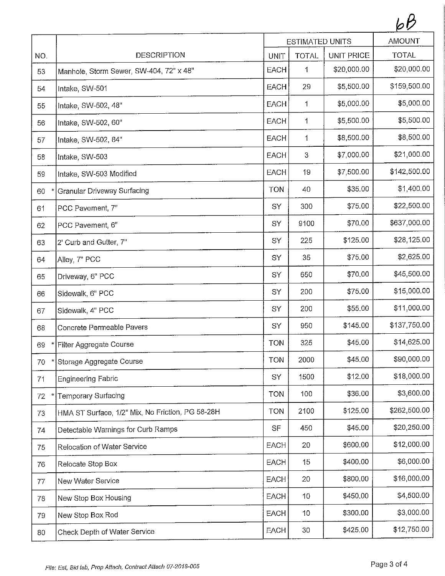|     |                                                  | <b>ESTIMATED UNITS</b> |              |                   | <b>AMOUNT</b> |
|-----|--------------------------------------------------|------------------------|--------------|-------------------|---------------|
| NO. | <b>DESCRIPTION</b>                               | UNIT                   | <b>TOTAL</b> | <b>UNIT PRICE</b> | <b>TOTAL</b>  |
| 53  | Manhole, Storm Sewer, SW-404, 72" x 48"          | EACH                   | 1            | \$20,000.00       | \$20,000.00   |
| 54  | Intake, SW-501                                   | <b>EACH</b>            | 29           | \$5,500.00        | \$159,500.00  |
| 55  | Intake, SW-502, 48"                              | EACH                   | 1            | \$5,000.00        | \$5,000.00    |
| 56  | Intake, SW-502, 60"                              | <b>EACH</b>            | $\mathbf 1$  | \$5,500.00        | \$5,500.00    |
| 57  | Intake, SW-502, 84"                              | <b>EACH</b>            | $\mathbf{1}$ | \$8,500.00        | \$8,500.00    |
| 58  | Intake, SW-503                                   | <b>EACH</b>            | 3            | \$7,000.00        | \$21,000.00   |
| 59  | Intake, SW-503 Modified                          | EACH                   | 19           | \$7,500.00        | \$142,500.00  |
| 60  | Granular Driveway Surfacing                      | <b>TON</b>             | 40           | \$35.00           | \$1,400.00    |
| 61  | PCC Pavement, 7"                                 | SY                     | 300          | \$75.00           | \$22,500.00   |
| 62  | PCC Pavement, 6"                                 | SY                     | 9100         | \$70.00           | \$637,000.00  |
| 63  | 2' Curb and Gutter, 7"                           | SY                     | 225          | \$125.00          | \$28,125.00   |
| 64  | Alley, 7" PCC                                    | SY                     | 35           | \$75.00           | \$2,625.00    |
| 65  | Driveway, 6" PCC                                 | SY                     | 650          | \$70.00           | \$45,500.00   |
| 66  | Sidewalk, 6" PCC                                 | SY                     | 200          | \$75.00           | \$15,000.00   |
| 67  | Sidewalk, 4" PCC                                 | SY                     | 200          | \$55.00           | \$11,000.00   |
| 68  | Concrete Permeable Pavers                        | SY                     | 950          | \$145.00          | \$137,750.00  |
| 69  | Filter Aggregate Course                          | <b>TON</b>             | 325          | \$45.00           | \$14,625.00   |
| 70  | Storage Aggregate Course                         | <b>TON</b>             | 2000         | \$45,00           | \$90,000.00   |
| 71  | <b>Engineering Fabric</b>                        | SY                     | 1500         | \$12.00           | \$18,000.00   |
| 72  | Temporary Surfacing                              | <b>TON</b>             | 100          | \$36.00           | \$3,600.00    |
| 73  | HMA ST Surface, 1/2" Mix, No Friction, PG 58-28H | <b>TON</b>             | 2100         | \$125.00          | \$262,500.00  |
| 74  | Detectable Warnings for Curb Ramps               | <b>SF</b>              | 450          | \$45.00           | \$20,250.00   |
| 75  | Relocation of Water Service                      | EACH                   | 20           | \$600.00          | \$12,000.00   |
| 76  | Relocate Stop Box                                | <b>EACH</b>            | 15           | \$400.00          | \$6,000.00    |
| 77  | New Water Service                                | <b>EACH</b>            | 20           | \$800.00          | \$16,000.00   |
| 78  | New Stop Box Housing                             | EACH                   | 10           | \$450.00          | \$4,500.00    |
| 79  | New Stop Box Rod                                 | <b>EACH</b>            | 10           | \$300.00          | \$3,000.00    |
| 80  | Check Depth of Water Service                     | EACH                   | 30           | \$425.00          | \$12,750.00   |